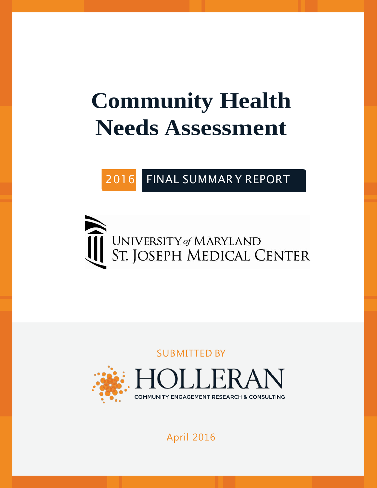# **Community Health Needs Assessment**

2016 FINAL SUMMAR Y REPORT



SUBMITTED BY



# April 2016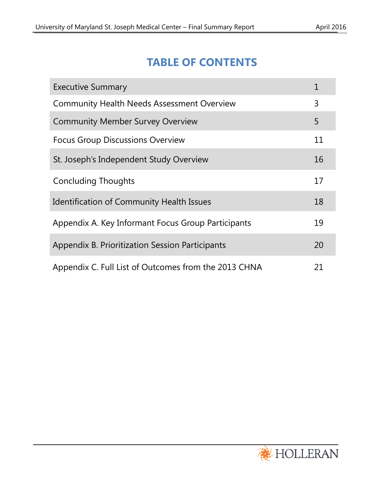# **TABLE OF CONTENTS**

| <b>Executive Summary</b>                             |    |
|------------------------------------------------------|----|
| <b>Community Health Needs Assessment Overview</b>    | 3  |
| <b>Community Member Survey Overview</b>              | 5  |
| <b>Focus Group Discussions Overview</b>              | 11 |
| St. Joseph's Independent Study Overview              | 16 |
| <b>Concluding Thoughts</b>                           | 17 |
| <b>Identification of Community Health Issues</b>     | 18 |
| Appendix A. Key Informant Focus Group Participants   | 19 |
| Appendix B. Prioritization Session Participants      | 20 |
| Appendix C. Full List of Outcomes from the 2013 CHNA | 21 |

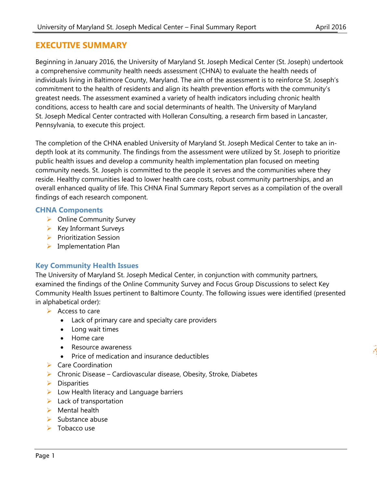## **EXECUTIVE SUMMARY**

Beginning in January 2016, the University of Maryland St. Joseph Medical Center (St. Joseph) undertook a comprehensive community health needs assessment (CHNA) to evaluate the health needs of individuals living in Baltimore County, Maryland. The aim of the assessment is to reinforce St. Joseph's commitment to the health of residents and align its health prevention efforts with the community's greatest needs. The assessment examined a variety of health indicators including chronic health conditions, access to health care and social determinants of health. The University of Maryland St. Joseph Medical Center contracted with Holleran Consulting, a research firm based in Lancaster, Pennsylvania, to execute this project.

The completion of the CHNA enabled University of Maryland St. Joseph Medical Center to take an indepth look at its community. The findings from the assessment were utilized by St. Joseph to prioritize public health issues and develop a community health implementation plan focused on meeting community needs. St. Joseph is committed to the people it serves and the communities where they reside. Healthy communities lead to lower health care costs, robust community partnerships, and an overall enhanced quality of life. This CHNA Final Summary Report serves as a compilation of the overall findings of each research component.

## **CHNA Components**

- $\triangleright$  Online Community Survey
- $\triangleright$  Key Informant Surveys
- $\triangleright$  Prioritization Session
- $\triangleright$  Implementation Plan

## **Key Community Health Issues**

The University of Maryland St. Joseph Medical Center, in conjunction with community partners, examined the findings of the Online Community Survey and Focus Group Discussions to select Key Community Health Issues pertinent to Baltimore County. The following issues were identified (presented in alphabetical order):

- $\triangleright$  Access to care
	- Lack of primary care and specialty care providers
	- Long wait times
	- Home care
	- Resource awareness
	- Price of medication and insurance deductibles
- $\triangleright$  Care Coordination
- $\triangleright$  Chronic Disease Cardiovascular disease, Obesity, Stroke, Diabetes
- $\triangleright$  Disparities
- $\triangleright$  Low Health literacy and Language barriers
- $\blacktriangleright$  Lack of transportation
- $\triangleright$  Mental health
- $\triangleright$  Substance abuse
- $\triangleright$  Tobacco use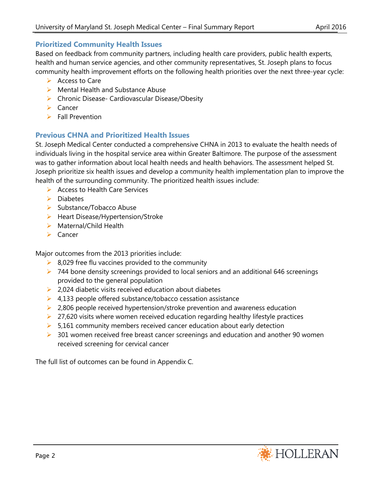## **Prioritized Community Health Issues**

Based on feedback from community partners, including health care providers, public health experts, health and human service agencies, and other community representatives, St. Joseph plans to focus community health improvement efforts on the following health priorities over the next three-year cycle:

- $\triangleright$  Access to Care
- $\triangleright$  Mental Health and Substance Abuse
- ▶ Chronic Disease- Cardiovascular Disease/Obesity
- $\triangleright$  Cancer
- $\triangleright$  Fall Prevention

## **Previous CHNA and Prioritized Health Issues**

St. Joseph Medical Center conducted a comprehensive CHNA in 2013 to evaluate the health needs of individuals living in the hospital service area within Greater Baltimore. The purpose of the assessment was to gather information about local health needs and health behaviors. The assessment helped St. Joseph prioritize six health issues and develop a community health implementation plan to improve the health of the surrounding community. The prioritized health issues include:

- $\triangleright$  Access to Health Care Services
- $\triangleright$  Diabetes
- $\triangleright$  Substance/Tobacco Abuse
- $\blacktriangleright$  Heart Disease/Hypertension/Stroke
- $\triangleright$  Maternal/Child Health
- $\triangleright$  Cancer

Major outcomes from the 2013 priorities include:

- $\triangleright$  8,029 free flu vaccines provided to the community
- $\triangleright$  744 bone density screenings provided to local seniors and an additional 646 screenings provided to the general population
- $\triangleright$  2,024 diabetic visits received education about diabetes
- $\triangleright$  4,133 people offered substance/tobacco cessation assistance
- $\geq$  2,806 people received hypertension/stroke prevention and awareness education
- $\geq$  27,620 visits where women received education regarding healthy lifestyle practices
- $5,161$  community members received cancer education about early detection
- $\triangleright$  301 women received free breast cancer screenings and education and another 90 women received screening for cervical cancer

The full list of outcomes can be found in Appendix C.

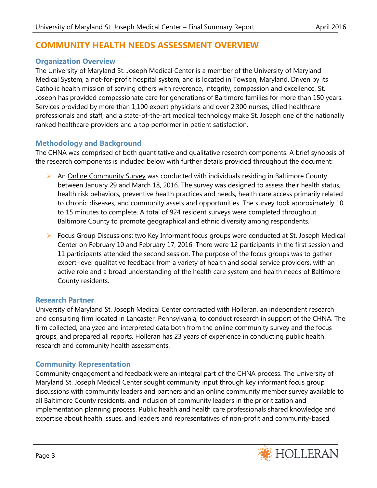## **COMMUNITY HEALTH NEEDS ASSESSMENT OVERVIEW**

## **Organization Overview**

The University of Maryland St. Joseph Medical Center is a member of the University of Maryland Medical System, a not-for-profit hospital system, and is located in Towson, Maryland. Driven by its Catholic health mission of serving others with reverence, integrity, compassion and excellence, St. Joseph has provided compassionate care for generations of Baltimore families for more than 150 years. Services provided by more than 1,100 expert physicians and over 2,300 nurses, allied healthcare professionals and staff, and a state-of-the-art medical technology make St. Joseph one of the nationally ranked healthcare providers and a top performer in patient satisfaction.

## **Methodology and Background**

The CHNA was comprised of both quantitative and qualitative research components. A brief synopsis of the research components is included below with further details provided throughout the document:

- $\triangleright$  An Online Community Survey was conducted with individuals residing in Baltimore County between January 29 and March 18, 2016. The survey was designed to assess their health status, health risk behaviors, preventive health practices and needs, health care access primarily related to chronic diseases, and community assets and opportunities. The survey took approximately 10 to 15 minutes to complete. A total of 924 resident surveys were completed throughout Baltimore County to promote geographical and ethnic diversity among respondents.
- $\triangleright$  Focus Group Discussions: two Key Informant focus groups were conducted at St. Joseph Medical Center on February 10 and February 17, 2016. There were 12 participants in the first session and 11 participants attended the second session. The purpose of the focus groups was to gather expert-level qualitative feedback from a variety of health and social service providers, with an active role and a broad understanding of the health care system and health needs of Baltimore County residents.

## **Research Partner**

University of Maryland St. Joseph Medical Center contracted with Holleran, an independent research and consulting firm located in Lancaster, Pennsylvania, to conduct research in support of the CHNA. The firm collected, analyzed and interpreted data both from the online community survey and the focus groups, and prepared all reports. Holleran has 23 years of experience in conducting public health research and community health assessments.

## **Community Representation**

Community engagement and feedback were an integral part of the CHNA process. The University of Maryland St. Joseph Medical Center sought community input through key informant focus group discussions with community leaders and partners and an online community member survey available to all Baltimore County residents, and inclusion of community leaders in the prioritization and implementation planning process. Public health and health care professionals shared knowledge and expertise about health issues, and leaders and representatives of non-profit and community-based

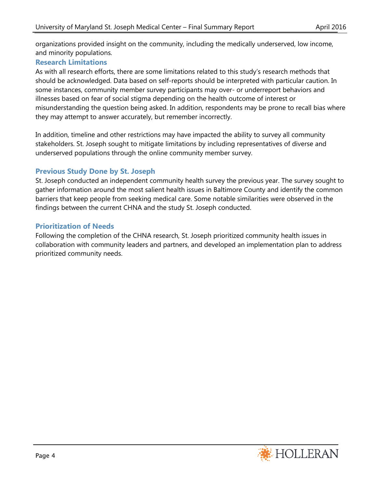organizations provided insight on the community, including the medically underserved, low income, and minority populations.

## **Research Limitations**

As with all research efforts, there are some limitations related to this study's research methods that should be acknowledged. Data based on self-reports should be interpreted with particular caution. In some instances, community member survey participants may over- or underreport behaviors and illnesses based on fear of social stigma depending on the health outcome of interest or misunderstanding the question being asked. In addition, respondents may be prone to recall bias where they may attempt to answer accurately, but remember incorrectly.

In addition, timeline and other restrictions may have impacted the ability to survey all community stakeholders. St. Joseph sought to mitigate limitations by including representatives of diverse and underserved populations through the online community member survey.

## **Previous Study Done by St. Joseph**

St. Joseph conducted an independent community health survey the previous year. The survey sought to gather information around the most salient health issues in Baltimore County and identify the common barriers that keep people from seeking medical care. Some notable similarities were observed in the findings between the current CHNA and the study St. Joseph conducted.

## **Prioritization of Needs**

Following the completion of the CHNA research, St. Joseph prioritized community health issues in collaboration with community leaders and partners, and developed an implementation plan to address prioritized community needs.

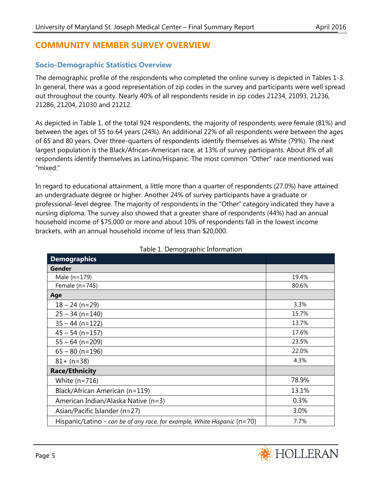## **COMMUNITY MEMBER SURVEY OVERVIEW**

## **Socio-Demographic Statistics Overview**

The demographic profile of the respondents who completed the online survey is depicted in Tables 1-3. In general, there was a good representation of zip codes in the survey and participants were well spread out throughout the county. Nearly 40% of all respondents reside in zip codes 21234, 21093, 21236, 21286, 21204, 21030 and 21212.

As depicted in Table 1, of the total 924 respondents, the majority of respondents were female (81%) and between the ages of 55 to 64 years (24%). An additional 22% of all respondents were between the ages of 65 and 80 years. Over three-quarters of respondents identify themselves as White (79%). The next largest population is the Black/African-American race, at 13% of survey participants. About 8% of all respondents identify themselves as Latino/Hispanic. The most common "Other" race mentioned was "mixed."

In regard to educational attainment, a little more than a quarter of respondents (27.0%) have attained an undergraduate degree or higher. Another 24% of survey participants have a graduate or professional-level degree. The majority of respondents in the "Other" category indicated they have a nursing diploma. The survey also showed that a greater share of respondents (44%) had an annual household income of \$75,000 or more and about 10% of respondents fall in the lowest income brackets, with an annual household income of less than \$20,000.

| $\frac{1}{2}$ . Dennographie milonination.                                 |       |
|----------------------------------------------------------------------------|-------|
| <b>Demographics</b>                                                        |       |
| Gender                                                                     |       |
| Male $(n=179)$                                                             | 19.4% |
| Female $(n=745)$                                                           | 80.6% |
| Age                                                                        |       |
| $18 - 24$ (n=29)                                                           | 3.3%  |
| $25 - 34$ (n=140)                                                          | 15.7% |
| $35 - 44$ (n=122)                                                          | 13.7% |
| $45 - 54$ (n=157)                                                          | 17.6% |
| $55 - 64$ (n=209)                                                          | 23.5% |
| $65 - 80$ (n=196)                                                          | 22.0% |
| $81 + (n=38)$                                                              | 4.3%  |
| <b>Race/Ethnicity</b>                                                      |       |
| White $(n=716)$                                                            | 78.9% |
| Black/African American (n=119)                                             | 13.1% |
| American Indian/Alaska Native (n=3)                                        | 0.3%  |
| Asian/Pacific Islander (n=27)                                              | 3.0%  |
| Hispanic/Latino - can be of any race, for example, White Hispanic $(n=70)$ | 7.7%  |

## Table 1. Demographic Information

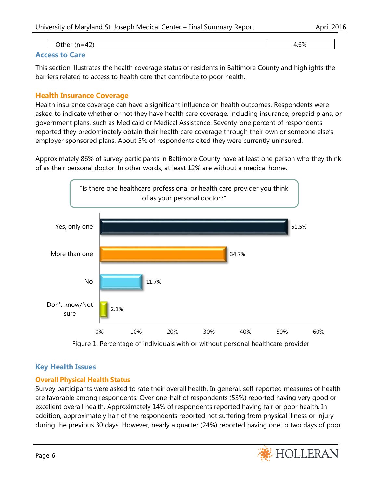| . .<br>. | $\sim$<br>7с |
|----------|--------------|
|          |              |

#### **Access to Care**

This section illustrates the health coverage status of residents in Baltimore County and highlights the barriers related to access to health care that contribute to poor health.

## **Health Insurance Coverage**

Health insurance coverage can have a significant influence on health outcomes. Respondents were asked to indicate whether or not they have health care coverage, including insurance, prepaid plans, or government plans, such as Medicaid or Medical Assistance. Seventy-one percent of respondents reported they predominately obtain their health care coverage through their own or someone else's employer sponsored plans. About 5% of respondents cited they were currently uninsured.

Approximately 86% of survey participants in Baltimore County have at least one person who they think of as their personal doctor. In other words, at least 12% are without a medical home.



Figure 1. Percentage of individuals with or without personal healthcare provider

## **Key Health Issues**

## **Overall Physical Health Status**

Survey participants were asked to rate their overall health. In general, self-reported measures of health are favorable among respondents. Over one-half of respondents (53%) reported having very good or excellent overall health. Approximately 14% of respondents reported having fair or poor health. In addition, approximately half of the respondents reported not suffering from physical illness or injury during the previous 30 days. However, nearly a quarter (24%) reported having one to two days of poor

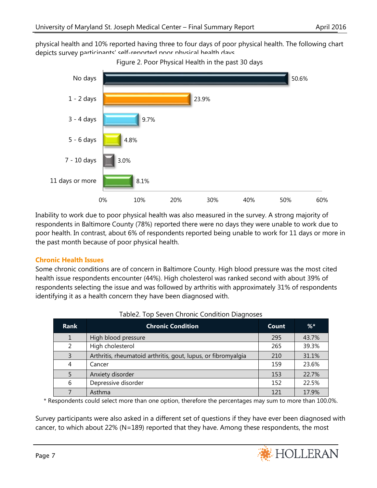physical health and 10% reported having three to four days of poor physical health. The following chart depicts survey particinants' self-reported poor physical health days.





Inability to work due to poor physical health was also measured in the survey. A strong majority of respondents in Baltimore County (78%) reported there were no days they were unable to work due to poor health. In contrast, about 6% of respondents reported being unable to work for 11 days or more in the past month because of poor physical health.

## **Chronic Health Issues**

Some chronic conditions are of concern in Baltimore County. High blood pressure was the most cited health issue respondents encounter (44%). High cholesterol was ranked second with about 39% of respondents selecting the issue and was followed by arthritis with approximately 31% of respondents identifying it as a health concern they have been diagnosed with.

| <b>Rank</b> | <b>Chronic Condition</b>                                      | Count | $%$ * |
|-------------|---------------------------------------------------------------|-------|-------|
|             | High blood pressure                                           | 295   | 43.7% |
| 2           | High cholesterol                                              | 265   | 39.3% |
|             | Arthritis, rheumatoid arthritis, gout, lupus, or fibromyalgia | 210   | 31.1% |
| 4           | Cancer                                                        | 159   | 23.6% |
| 5           | Anxiety disorder                                              | 153   | 22.7% |
| 6           | Depressive disorder                                           | 152   | 22.5% |
|             | Asthma                                                        | 121   | 17.9% |

\* Respondents could select more than one option, therefore the percentages may sum to more than 100.0%.

Survey participants were also asked in a different set of questions if they have ever been diagnosed with cancer, to which about 22% (N=189) reported that they have. Among these respondents, the most

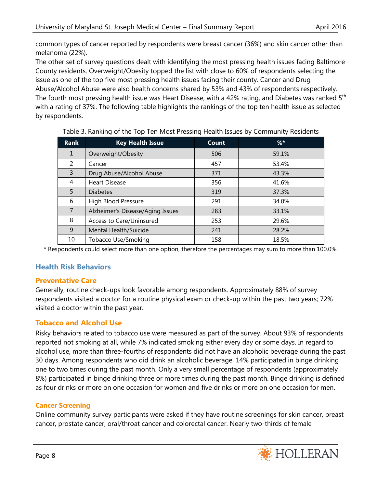common types of cancer reported by respondents were breast cancer (36%) and skin cancer other than melanoma (22%).

The other set of survey questions dealt with identifying the most pressing health issues facing Baltimore County residents. Overweight/Obesity topped the list with close to 60% of respondents selecting the issue as one of the top five most pressing health issues facing their county. Cancer and Drug Abuse/Alcohol Abuse were also health concerns shared by 53% and 43% of respondents respectively. The fourth most pressing health issue was Heart Disease, with a 42% rating, and Diabetes was ranked  $5<sup>th</sup>$ with a rating of 37%. The following table highlights the rankings of the top ten health issue as selected by respondents.

| <b>Rank</b>    | <b>Key Health Issue</b>          | Count | $%$ * |
|----------------|----------------------------------|-------|-------|
| 1              | Overweight/Obesity               | 506   | 59.1% |
| 2              | Cancer                           | 457   | 53.4% |
| 3              | Drug Abuse/Alcohol Abuse         | 371   | 43.3% |
| 4              | <b>Heart Disease</b>             | 356   | 41.6% |
| 5.             | <b>Diabetes</b>                  | 319   | 37.3% |
| 6              | High Blood Pressure              | 291   | 34.0% |
| $\overline{7}$ | Alzheimer's Disease/Aging Issues | 283   | 33.1% |
| 8              | Access to Care/Uninsured         | 253   | 29.6% |
| 9              | Mental Health/Suicide            | 241   | 28.2% |
| 10             | Tobacco Use/Smoking              | 158   | 18.5% |

## Table 3. Ranking of the Top Ten Most Pressing Health Issues by Community Residents

\* Respondents could select more than one option, therefore the percentages may sum to more than 100.0%.

## **Health Risk Behaviors**

## **Preventative Care**

Generally, routine check-ups look favorable among respondents. Approximately 88% of survey respondents visited a doctor for a routine physical exam or check-up within the past two years; 72% visited a doctor within the past year.

## **Tobacco and Alcohol Use**

Risky behaviors related to tobacco use were measured as part of the survey. About 93% of respondents reported not smoking at all, while 7% indicated smoking either every day or some days. In regard to alcohol use, more than three-fourths of respondents did not have an alcoholic beverage during the past 30 days. Among respondents who did drink an alcoholic beverage, 14% participated in binge drinking one to two times during the past month. Only a very small percentage of respondents (approximately 8%) participated in binge drinking three or more times during the past month. Binge drinking is defined as four drinks or more on one occasion for women and five drinks or more on one occasion for men.

## **Cancer Screening**

Online community survey participants were asked if they have routine screenings for skin cancer, breast cancer, prostate cancer, oral/throat cancer and colorectal cancer. Nearly two-thirds of female

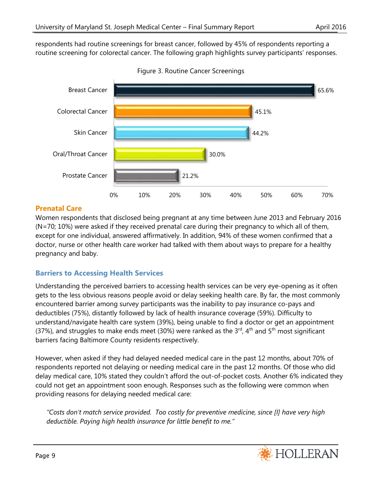respondents had routine screenings for breast cancer, followed by 45% of respondents reporting a routine screening for colorectal cancer. The following graph highlights survey participants' responses.



Figure 3. Routine Cancer Screenings

## **Prenatal Care**

Women respondents that disclosed being pregnant at any time between June 2013 and February 2016 (N=70; 10%) were asked if they received prenatal care during their pregnancy to which all of them, except for one individual, answered affirmatively. In addition, 94% of these women confirmed that a doctor, nurse or other health care worker had talked with them about ways to prepare for a healthy pregnancy and baby.

## **Barriers to Accessing Health Services**

Understanding the perceived barriers to accessing health services can be very eye-opening as it often gets to the less obvious reasons people avoid or delay seeking health care. By far, the most commonly encountered barrier among survey participants was the inability to pay insurance co-pays and deductibles (75%), distantly followed by lack of health insurance coverage (59%). Difficulty to understand/navigate health care system (39%), being unable to find a doctor or get an appointment (37%), and struggles to make ends meet (30%) were ranked as the  $3<sup>rd</sup>$ , 4<sup>th</sup> and  $5<sup>th</sup>$  most significant barriers facing Baltimore County residents respectively.

However, when asked if they had delayed needed medical care in the past 12 months, about 70% of respondents reported not delaying or needing medical care in the past 12 months. Of those who did delay medical care, 10% stated they couldn't afford the out-of-pocket costs. Another 6% indicated they could not get an appointment soon enough. Responses such as the following were common when providing reasons for delaying needed medical care:

*"Costs don't match service provided. Too costly for preventive medicine, since [I] have very high deductible. Paying high health insurance for little benefit to me."*

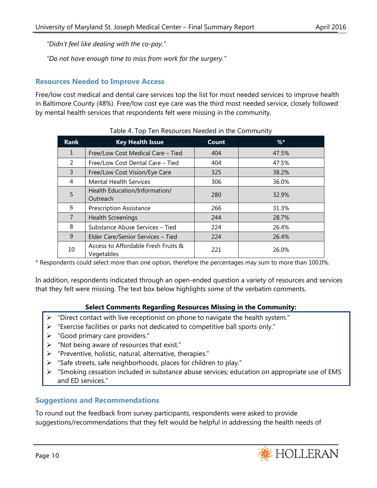*"Didn't feel like dealing with the co-pay."*

*"Do not have enough time to miss from work for the surgery."*

## **Resources Needed to Improve Access**

Free/low cost medical and dental care services top the list for most needed services to improve health in Baltimore County (48%). Free/low cost eye care was the third most needed service, closely followed by mental health services that respondents felt were missing in the community.

| <b>Rank</b>  | <b>Key Health Issue</b>                           | <b>Count</b> | $%$ * |
|--------------|---------------------------------------------------|--------------|-------|
| $\mathbf{1}$ | Free/Low Cost Medical Care - Tied                 | 404          | 47.5% |
| 2            | Free/Low Cost Dental Care - Tied                  | 404          | 47.5% |
| 3            | Free/Low Cost Vision/Eye Care                     | 325          | 38.2% |
| 4            | <b>Mental Health Services</b>                     | 306          | 36.0% |
| 5            | Health Education/Information/<br>Outreach         | 280          | 32.9% |
| 6            | <b>Prescription Assistance</b>                    | 266          | 31.3% |
| 7            | <b>Health Screenings</b>                          | 244          | 28.7% |
| 8            | Substance Abuse Services - Tied                   | 224          | 26.4% |
| 9            | Elder Care/Senior Services - Tied                 | 224          | 26.4% |
| 10           | Access to Affordable Fresh Fruits &<br>Vegetables | 221          | 26.0% |

|  | Table 4. Top Ten Resources Needed in the Community |
|--|----------------------------------------------------|
|  |                                                    |

\* Respondents could select more than one option, therefore the percentages may sum to more than 100.0%.

In addition, respondents indicated through an open-ended question a variety of resources and services that they felt were missing. The text box below highlights some of the verbatim comments.

## **Select Comments Regarding Resources Missing in the Community:**

- $\triangleright$  "Direct contact with live receptionist on phone to navigate the health system."
- "Exercise facilities or parks not dedicated to competitive ball sports only."
- > "Good primary care providers."
- $\triangleright$  "Not being aware of resources that exist."
- $\triangleright$  "Preventive, holistic, natural, alternative, therapies."
- "Safe streets, safe neighborhoods, places for children to play."
- "Smoking cessation included in substance abuse services; education on appropriate use of EMS and ED services."

## **Suggestions and Recommendations**

To round out the feedback from survey participants, respondents were asked to provide suggestions/recommendations that they felt would be helpful in addressing the health needs of

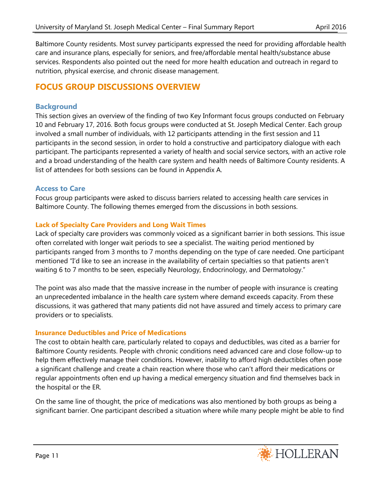Baltimore County residents. Most survey participants expressed the need for providing affordable health care and insurance plans, especially for seniors, and free/affordable mental health/substance abuse services. Respondents also pointed out the need for more health education and outreach in regard to nutrition, physical exercise, and chronic disease management.

## **FOCUS GROUP DISCUSSIONS OVERVIEW**

## **Background**

This section gives an overview of the finding of two Key Informant focus groups conducted on February 10 and February 17, 2016. Both focus groups were conducted at St. Joseph Medical Center. Each group involved a small number of individuals, with 12 participants attending in the first session and 11 participants in the second session, in order to hold a constructive and participatory dialogue with each participant. The participants represented a variety of health and social service sectors, with an active role and a broad understanding of the health care system and health needs of Baltimore County residents. A list of attendees for both sessions can be found in Appendix A.

## **Access to Care**

Focus group participants were asked to discuss barriers related to accessing health care services in Baltimore County. The following themes emerged from the discussions in both sessions.

## **Lack of Specialty Care Providers and Long Wait Times**

Lack of specialty care providers was commonly voiced as a significant barrier in both sessions. This issue often correlated with longer wait periods to see a specialist. The waiting period mentioned by participants ranged from 3 months to 7 months depending on the type of care needed. One participant mentioned "I'd like to see an increase in the availability of certain specialties so that patients aren't waiting 6 to 7 months to be seen, especially Neurology, Endocrinology, and Dermatology."

The point was also made that the massive increase in the number of people with insurance is creating an unprecedented imbalance in the health care system where demand exceeds capacity. From these discussions, it was gathered that many patients did not have assured and timely access to primary care providers or to specialists.

## **Insurance Deductibles and Price of Medications**

The cost to obtain health care, particularly related to copays and deductibles, was cited as a barrier for Baltimore County residents. People with chronic conditions need advanced care and close follow-up to help them effectively manage their conditions. However, inability to afford high deductibles often pose a significant challenge and create a chain reaction where those who can't afford their medications or regular appointments often end up having a medical emergency situation and find themselves back in the hospital or the ER.

On the same line of thought, the price of medications was also mentioned by both groups as being a significant barrier. One participant described a situation where while many people might be able to find

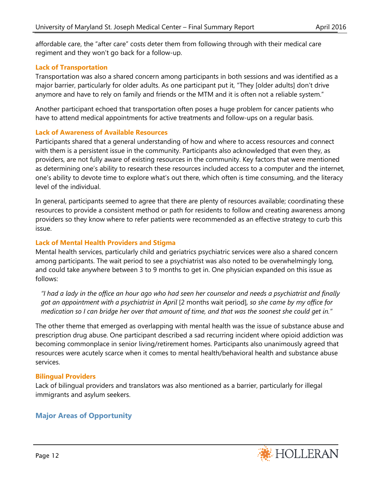affordable care, the "after care" costs deter them from following through with their medical care regiment and they won't go back for a follow-up.

## **Lack of Transportation**

Transportation was also a shared concern among participants in both sessions and was identified as a major barrier, particularly for older adults. As one participant put it, "They [older adults] don't drive anymore and have to rely on family and friends or the MTM and it is often not a reliable system."

Another participant echoed that transportation often poses a huge problem for cancer patients who have to attend medical appointments for active treatments and follow-ups on a regular basis.

## **Lack of Awareness of Available Resources**

Participants shared that a general understanding of how and where to access resources and connect with them is a persistent issue in the community. Participants also acknowledged that even they, as providers, are not fully aware of existing resources in the community. Key factors that were mentioned as determining one's ability to research these resources included access to a computer and the internet, one's ability to devote time to explore what's out there, which often is time consuming, and the literacy level of the individual.

In general, participants seemed to agree that there are plenty of resources available; coordinating these resources to provide a consistent method or path for residents to follow and creating awareness among providers so they know where to refer patients were recommended as an effective strategy to curb this issue.

## **Lack of Mental Health Providers and Stigma**

Mental health services, particularly child and geriatrics psychiatric services were also a shared concern among participants. The wait period to see a psychiatrist was also noted to be overwhelmingly long, and could take anywhere between 3 to 9 months to get in. One physician expanded on this issue as follows:

*"I had a lady in the office an hour ago who had seen her counselor and needs a psychiatrist and finally got an appointment with a psychiatrist in April* [2 months wait period]*, so she came by my office for medication so I can bridge her over that amount of time, and that was the soonest she could get in."*

The other theme that emerged as overlapping with mental health was the issue of substance abuse and prescription drug abuse. One participant described a sad recurring incident where opioid addiction was becoming commonplace in senior living/retirement homes. Participants also unanimously agreed that resources were acutely scarce when it comes to mental health/behavioral health and substance abuse services.

## **Bilingual Providers**

Lack of bilingual providers and translators was also mentioned as a barrier, particularly for illegal immigrants and asylum seekers.

## **Major Areas of Opportunity**

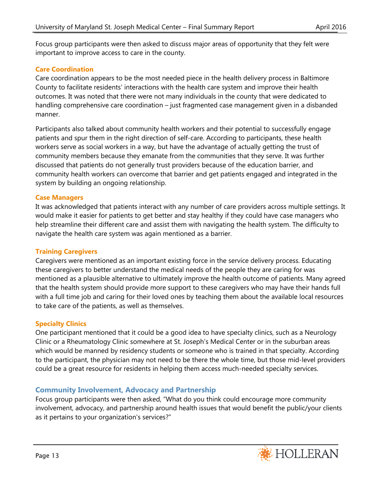Focus group participants were then asked to discuss major areas of opportunity that they felt were important to improve access to care in the county.

## **Care Coordination**

Care coordination appears to be the most needed piece in the health delivery process in Baltimore County to facilitate residents' interactions with the health care system and improve their health outcomes. It was noted that there were not many individuals in the county that were dedicated to handling comprehensive care coordination – just fragmented case management given in a disbanded manner.

Participants also talked about community health workers and their potential to successfully engage patients and spur them in the right direction of self-care. According to participants, these health workers serve as social workers in a way, but have the advantage of actually getting the trust of community members because they emanate from the communities that they serve. It was further discussed that patients do not generally trust providers because of the education barrier, and community health workers can overcome that barrier and get patients engaged and integrated in the system by building an ongoing relationship.

## **Case Managers**

It was acknowledged that patients interact with any number of care providers across multiple settings. It would make it easier for patients to get better and stay healthy if they could have case managers who help streamline their different care and assist them with navigating the health system. The difficulty to navigate the health care system was again mentioned as a barrier.

## **Training Caregivers**

Caregivers were mentioned as an important existing force in the service delivery process. Educating these caregivers to better understand the medical needs of the people they are caring for was mentioned as a plausible alternative to ultimately improve the health outcome of patients. Many agreed that the health system should provide more support to these caregivers who may have their hands full with a full time job and caring for their loved ones by teaching them about the available local resources to take care of the patients, as well as themselves.

## **Specialty Clinics**

One participant mentioned that it could be a good idea to have specialty clinics, such as a Neurology Clinic or a Rheumatology Clinic somewhere at St. Joseph's Medical Center or in the suburban areas which would be manned by residency students or someone who is trained in that specialty. According to the participant, the physician may not need to be there the whole time, but those mid-level providers could be a great resource for residents in helping them access much-needed specialty services.

## **Community Involvement, Advocacy and Partnership**

Focus group participants were then asked, "What do you think could encourage more community involvement, advocacy, and partnership around health issues that would benefit the public/your clients as it pertains to your organization's services?"

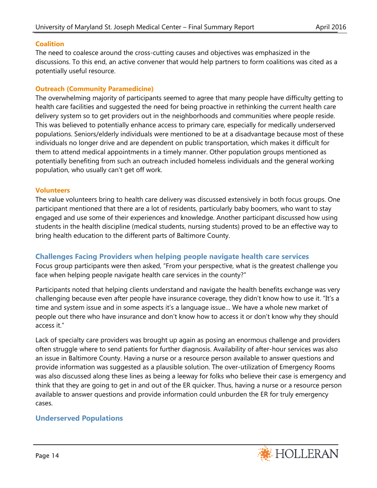## **Coalition**

The need to coalesce around the cross-cutting causes and objectives was emphasized in the discussions. To this end, an active convener that would help partners to form coalitions was cited as a potentially useful resource.

## **Outreach (Community Paramedicine)**

The overwhelming majority of participants seemed to agree that many people have difficulty getting to health care facilities and suggested the need for being proactive in rethinking the current health care delivery system so to get providers out in the neighborhoods and communities where people reside. This was believed to potentially enhance access to primary care, especially for medically underserved populations. Seniors/elderly individuals were mentioned to be at a disadvantage because most of these individuals no longer drive and are dependent on public transportation, which makes it difficult for them to attend medical appointments in a timely manner. Other population groups mentioned as potentially benefiting from such an outreach included homeless individuals and the general working population, who usually can't get off work.

## **Volunteers**

The value volunteers bring to health care delivery was discussed extensively in both focus groups. One participant mentioned that there are a lot of residents, particularly baby boomers, who want to stay engaged and use some of their experiences and knowledge. Another participant discussed how using students in the health discipline (medical students, nursing students) proved to be an effective way to bring health education to the different parts of Baltimore County.

## **Challenges Facing Providers when helping people navigate health care services**

Focus group participants were then asked, "From your perspective, what is the greatest challenge you face when helping people navigate health care services in the county?"

Participants noted that helping clients understand and navigate the health benefits exchange was very challenging because even after people have insurance coverage, they didn't know how to use it. "It's a time and system issue and in some aspects it's a language issue… We have a whole new market of people out there who have insurance and don't know how to access it or don't know why they should access it."

Lack of specialty care providers was brought up again as posing an enormous challenge and providers often struggle where to send patients for further diagnosis. Availability of after-hour services was also an issue in Baltimore County. Having a nurse or a resource person available to answer questions and provide information was suggested as a plausible solution. The over-utilization of Emergency Rooms was also discussed along these lines as being a leeway for folks who believe their case is emergency and think that they are going to get in and out of the ER quicker. Thus, having a nurse or a resource person available to answer questions and provide information could unburden the ER for truly emergency cases.

## **Underserved Populations**

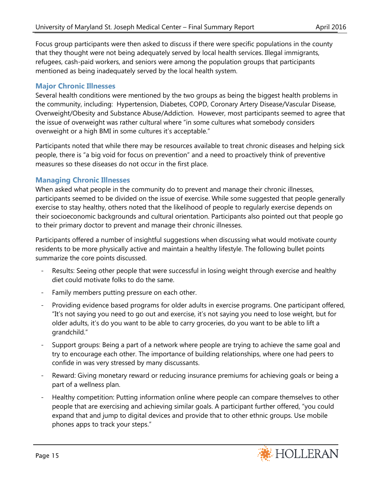Focus group participants were then asked to discuss if there were specific populations in the county that they thought were not being adequately served by local health services. Illegal immigrants, refugees, cash-paid workers, and seniors were among the population groups that participants mentioned as being inadequately served by the local health system.

## **Major Chronic Illnesses**

Several health conditions were mentioned by the two groups as being the biggest health problems in the community, including: Hypertension, Diabetes, COPD, Coronary Artery Disease/Vascular Disease, Overweight/Obesity and Substance Abuse/Addiction. However, most participants seemed to agree that the issue of overweight was rather cultural where "in some cultures what somebody considers overweight or a high BMI in some cultures it's acceptable."

Participants noted that while there may be resources available to treat chronic diseases and helping sick people, there is "a big void for focus on prevention" and a need to proactively think of preventive measures so these diseases do not occur in the first place.

## **Managing Chronic Illnesses**

When asked what people in the community do to prevent and manage their chronic illnesses, participants seemed to be divided on the issue of exercise. While some suggested that people generally exercise to stay healthy, others noted that the likelihood of people to regularly exercise depends on their socioeconomic backgrounds and cultural orientation. Participants also pointed out that people go to their primary doctor to prevent and manage their chronic illnesses.

Participants offered a number of insightful suggestions when discussing what would motivate county residents to be more physically active and maintain a healthy lifestyle. The following bullet points summarize the core points discussed.

- Results: Seeing other people that were successful in losing weight through exercise and healthy diet could motivate folks to do the same.
- Family members putting pressure on each other.
- Providing evidence based programs for older adults in exercise programs. One participant offered, "It's not saying you need to go out and exercise, it's not saying you need to lose weight, but for older adults, it's do you want to be able to carry groceries, do you want to be able to lift a grandchild."
- Support groups: Being a part of a network where people are trying to achieve the same goal and try to encourage each other. The importance of building relationships, where one had peers to confide in was very stressed by many discussants.
- Reward: Giving monetary reward or reducing insurance premiums for achieving goals or being a part of a wellness plan.
- Healthy competition: Putting information online where people can compare themselves to other people that are exercising and achieving similar goals. A participant further offered, "you could expand that and jump to digital devices and provide that to other ethnic groups. Use mobile phones apps to track your steps."

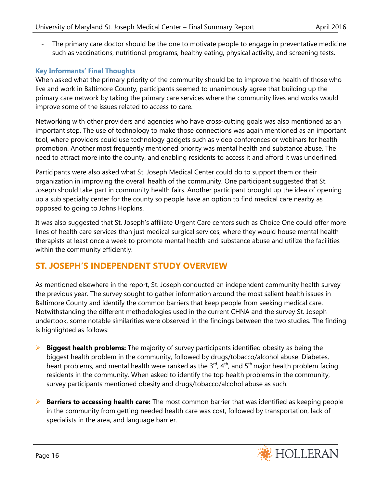- The primary care doctor should be the one to motivate people to engage in preventative medicine such as vaccinations, nutritional programs, healthy eating, physical activity, and screening tests.

## **Key Informants' Final Thoughts**

When asked what the primary priority of the community should be to improve the health of those who live and work in Baltimore County, participants seemed to unanimously agree that building up the primary care network by taking the primary care services where the community lives and works would improve some of the issues related to access to care.

Networking with other providers and agencies who have cross-cutting goals was also mentioned as an important step. The use of technology to make those connections was again mentioned as an important tool, where providers could use technology gadgets such as video conferences or webinars for health promotion. Another most frequently mentioned priority was mental health and substance abuse. The need to attract more into the county, and enabling residents to access it and afford it was underlined.

Participants were also asked what St. Joseph Medical Center could do to support them or their organization in improving the overall health of the community. One participant suggested that St. Joseph should take part in community health fairs. Another participant brought up the idea of opening up a sub specialty center for the county so people have an option to find medical care nearby as opposed to going to Johns Hopkins.

It was also suggested that St. Joseph's affiliate Urgent Care centers such as Choice One could offer more lines of health care services than just medical surgical services, where they would house mental health therapists at least once a week to promote mental health and substance abuse and utilize the facilities within the community efficiently.

## **ST. JOSEPH'S INDEPENDENT STUDY OVERVIEW**

As mentioned elsewhere in the report, St. Joseph conducted an independent community health survey the previous year. The survey sought to gather information around the most salient health issues in Baltimore County and identify the common barriers that keep people from seeking medical care. Notwithstanding the different methodologies used in the current CHNA and the survey St. Joseph undertook, some notable similarities were observed in the findings between the two studies. The finding is highlighted as follows:

- **Biggest health problems:** The majority of survey participants identified obesity as being the biggest health problem in the community, followed by drugs/tobacco/alcohol abuse. Diabetes, heart problems, and mental health were ranked as the  $3<sup>rd</sup>$ , 4<sup>th</sup>, and  $5<sup>th</sup>$  major health problem facing residents in the community. When asked to identify the top health problems in the community, survey participants mentioned obesity and drugs/tobacco/alcohol abuse as such.
- **Barriers to accessing health care:** The most common barrier that was identified as keeping people in the community from getting needed health care was cost, followed by transportation, lack of specialists in the area, and language barrier.

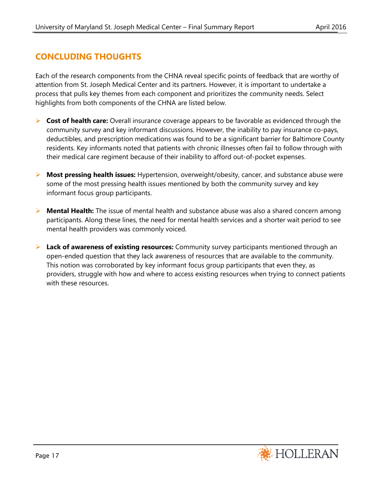## **CONCLUDING THOUGHTS**

Each of the research components from the CHNA reveal specific points of feedback that are worthy of attention from St. Joseph Medical Center and its partners. However, it is important to undertake a process that pulls key themes from each component and prioritizes the community needs. Select highlights from both components of the CHNA are listed below.

- **Cost of health care:** Overall insurance coverage appears to be favorable as evidenced through the community survey and key informant discussions. However, the inability to pay insurance co-pays, deductibles, and prescription medications was found to be a significant barrier for Baltimore County residents. Key informants noted that patients with chronic illnesses often fail to follow through with their medical care regiment because of their inability to afford out-of-pocket expenses.
- **Most pressing health issues:** Hypertension, overweight/obesity, cancer, and substance abuse were some of the most pressing health issues mentioned by both the community survey and key informant focus group participants.
- **Mental Health:** The issue of mental health and substance abuse was also a shared concern among participants. Along these lines, the need for mental health services and a shorter wait period to see mental health providers was commonly voiced.
- **Lack of awareness of existing resources:** Community survey participants mentioned through an open-ended question that they lack awareness of resources that are available to the community. This notion was corroborated by key informant focus group participants that even they, as providers, struggle with how and where to access existing resources when trying to connect patients with these resources.

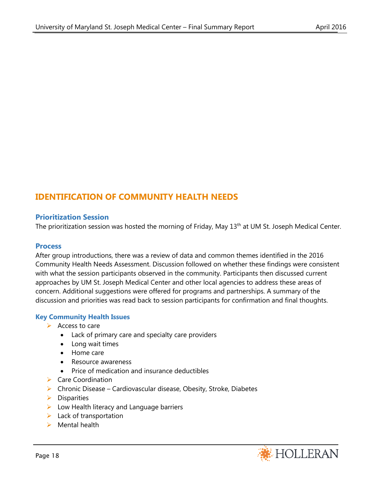## **IDENTIFICATION OF COMMUNITY HEALTH NEEDS**

## **Prioritization Session**

The prioritization session was hosted the morning of Friday, May 13<sup>th</sup> at UM St. Joseph Medical Center.

#### **Process**

After group introductions, there was a review of data and common themes identified in the 2016 Community Health Needs Assessment. Discussion followed on whether these findings were consistent with what the session participants observed in the community. Participants then discussed current approaches by UM St. Joseph Medical Center and other local agencies to address these areas of concern. Additional suggestions were offered for programs and partnerships. A summary of the discussion and priorities was read back to session participants for confirmation and final thoughts.

## **Key Community Health Issues**

- $\triangleright$  Access to care
	- Lack of primary care and specialty care providers
	- Long wait times
	- Home care
	- Resource awareness
	- Price of medication and insurance deductibles
- $\triangleright$  Care Coordination
- $\triangleright$  Chronic Disease Cardiovascular disease, Obesity, Stroke, Diabetes
- $\triangleright$  Disparities
- $\triangleright$  Low Health literacy and Language barriers
- $\blacktriangleright$  Lack of transportation
- $\triangleright$  Mental health

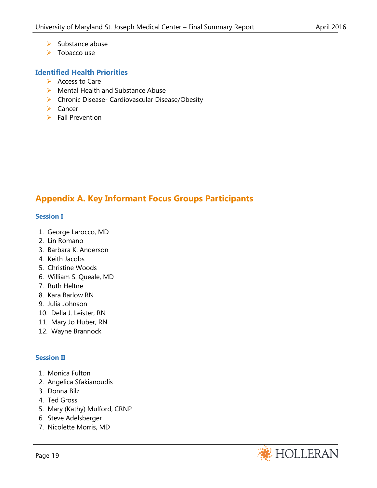- $\triangleright$  Substance abuse
- $\triangleright$  Tobacco use

## **Identified Health Priorities**

- $\triangleright$  Access to Care
- ▶ Mental Health and Substance Abuse
- ▶ Chronic Disease- Cardiovascular Disease/Obesity
- $\triangleright$  Cancer
- $\triangleright$  Fall Prevention

## **Appendix A. Key Informant Focus Groups Participants**

#### **Session I**

- 1. George Larocco, MD
- 2. Lin Romano
- 3. Barbara K. Anderson
- 4. Keith Jacobs
- 5. Christine Woods
- 6. William S. Queale, MD
- 7. Ruth Heltne
- 8. Kara Barlow RN
- 9. Julia Johnson
- 10. Della J. Leister, RN
- 11. Mary Jo Huber, RN
- 12. Wayne Brannock

## **Session II**

- 1. Monica Fulton
- 2. Angelica Sfakianoudis
- 3. Donna Bilz
- 4. Ted Gross
- 5. Mary (Kathy) Mulford, CRNP
- 6. Steve Adelsberger
- 7. Nicolette Morris, MD

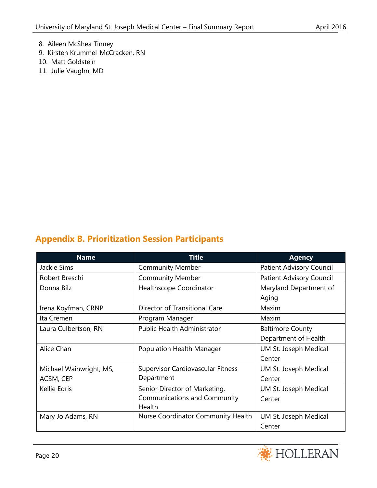- 8. Aileen McShea Tinney
- 9. Kirsten Krummel-McCracken, RN
- 10. Matt Goldstein
- 11. Julie Vaughn, MD

# **Appendix B. Prioritization Session Participants**

| <b>Name</b>                             | <b>Title</b>                             | <b>Agency</b>                   |
|-----------------------------------------|------------------------------------------|---------------------------------|
| Jackie Sims                             | <b>Community Member</b>                  | <b>Patient Advisory Council</b> |
| Robert Breschi                          | <b>Community Member</b>                  | Patient Advisory Council        |
| Donna Bilz                              | Healthscope Coordinator                  | Maryland Department of          |
|                                         |                                          | Aging                           |
| Irena Koyfman, CRNP                     | Director of Transitional Care            | Maxim                           |
| Ita Cremen                              | Program Manager                          | Maxim                           |
| Laura Culbertson, RN                    | <b>Public Health Administrator</b>       | <b>Baltimore County</b>         |
|                                         |                                          | Department of Health            |
| Alice Chan<br>Population Health Manager |                                          | UM St. Joseph Medical           |
|                                         |                                          | Center                          |
| Michael Wainwright, MS,                 | <b>Supervisor Cardiovascular Fitness</b> | UM St. Joseph Medical           |
| ACSM, CEP                               | Department                               | Center                          |
| Kellie Edris                            | Senior Director of Marketing,            | UM St. Joseph Medical           |
|                                         | <b>Communications and Community</b>      | Center                          |
|                                         | Health                                   |                                 |
| Mary Jo Adams, RN                       | Nurse Coordinator Community Health       | UM St. Joseph Medical           |
|                                         |                                          | Center                          |

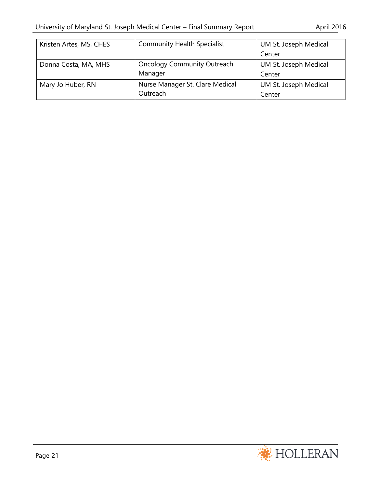| Kristen Artes, MS, CHES | <b>Community Health Specialist</b> | UM St. Joseph Medical |
|-------------------------|------------------------------------|-----------------------|
|                         |                                    | Center                |
| Donna Costa, MA, MHS    | <b>Oncology Community Outreach</b> | UM St. Joseph Medical |
|                         | Manager                            | Center                |
| Mary Jo Huber, RN       | Nurse Manager St. Clare Medical    | UM St. Joseph Medical |
|                         | Outreach                           | Center                |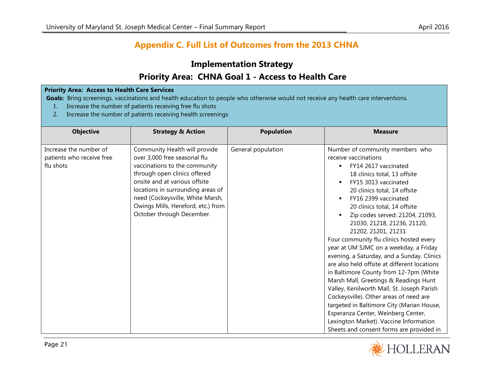## **Appendix C. Full List of Outcomes from the 2013 CHNA**

# **Implementation Strategy Priority Area: CHNA Goal 1 - Access to Health Care**

#### **Priority Area: Access to Health Care Services**

**Goals:** Bring screenings, vaccinations and health education to people who otherwise would not receive any health care interventions.

- 1. Increase the number of patients receiving free flu shots
- 2. Increase the number of patients receiving health screenings

| <b>Objective</b>                                                 | <b>Strategy &amp; Action</b>                                                                                                                                                                                                                                                                                | <b>Population</b>  | <b>Measure</b>                                                                                                                                                                                                                                                                                                                                                                                                                                                                                                                                                                                                                                                                                                                                                                                                                                                                                                             |
|------------------------------------------------------------------|-------------------------------------------------------------------------------------------------------------------------------------------------------------------------------------------------------------------------------------------------------------------------------------------------------------|--------------------|----------------------------------------------------------------------------------------------------------------------------------------------------------------------------------------------------------------------------------------------------------------------------------------------------------------------------------------------------------------------------------------------------------------------------------------------------------------------------------------------------------------------------------------------------------------------------------------------------------------------------------------------------------------------------------------------------------------------------------------------------------------------------------------------------------------------------------------------------------------------------------------------------------------------------|
| Increase the number of<br>patients who receive free<br>flu shots | Community Health will provide<br>over 3,000 free seasonal flu<br>vaccinations to the community<br>through open clinics offered<br>onsite and at various offsite<br>locations in surrounding areas of<br>need (Cockeysville, White Marsh,<br>Owings Mills, Hereford, etc.) from<br>October through December. | General population | Number of community members who<br>receive vaccinations<br>FY14 2617 vaccinated<br>$\blacksquare$<br>18 clinics total, 13 offsite<br>FY15 3013 vaccinated<br>$\blacksquare$<br>20 clinics total, 14 offsite<br>FY16 2399 vaccinated<br>$\blacksquare$<br>20 clinics total, 14 offsite<br>Zip codes served: 21204, 21093,<br>٠<br>21030, 21218, 21236, 21120,<br>21202, 21201, 21231<br>Four community flu clinics hosted every<br>year at UM SJMC on a weekday, a Friday<br>evening, a Saturday, and a Sunday. Clinics<br>are also held offsite at different locations<br>in Baltimore County from 12-7pm (White<br>Marsh Mall, Greetings & Readings Hunt<br>Valley, Kenilworth Mall, St. Joseph Parish<br>Cockeysville). Other areas of need are<br>targeted in Baltimore City (Marian House,<br>Esperanza Center, Weinberg Center,<br>Lexington Market). Vaccine Information<br>Sheets and consent forms are provided in |

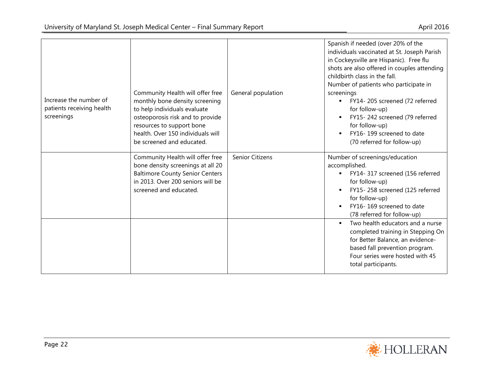|                                                                   | Community Health will offer free                                                                                                                                                                  | General population | Spanish if needed (over 20% of the<br>individuals vaccinated at St. Joseph Parish<br>in Cockeysville are Hispanic). Free flu<br>shots are also offered in couples attending<br>childbirth class in the fall.<br>Number of patients who participate in<br>screenings |
|-------------------------------------------------------------------|---------------------------------------------------------------------------------------------------------------------------------------------------------------------------------------------------|--------------------|---------------------------------------------------------------------------------------------------------------------------------------------------------------------------------------------------------------------------------------------------------------------|
| Increase the number of<br>patients receiving health<br>screenings | monthly bone density screening<br>to help individuals evaluate<br>osteoporosis risk and to provide<br>resources to support bone<br>health. Over 150 individuals will<br>be screened and educated. |                    | FY14-205 screened (72 referred<br>for follow-up)<br>FY15-242 screened (79 referred<br>for follow-up)<br>FY16-199 screened to date<br>(70 referred for follow-up)                                                                                                    |
|                                                                   | Community Health will offer free<br>bone density screenings at all 20<br><b>Baltimore County Senior Centers</b><br>in 2013. Over 200 seniors will be<br>screened and educated.                    | Senior Citizens    | Number of screenings/education<br>accomplished.<br>FY14-317 screened (156 referred<br>for follow-up)<br>FY15-258 screened (125 referred<br>for follow-up)<br>FY16-169 screened to date<br>$\blacksquare$<br>(78 referred for follow-up)                             |
|                                                                   |                                                                                                                                                                                                   |                    | Two health educators and a nurse<br>$\blacksquare$<br>completed training in Stepping On<br>for Better Balance, an evidence-<br>based fall prevention program.<br>Four series were hosted with 45<br>total participants.                                             |

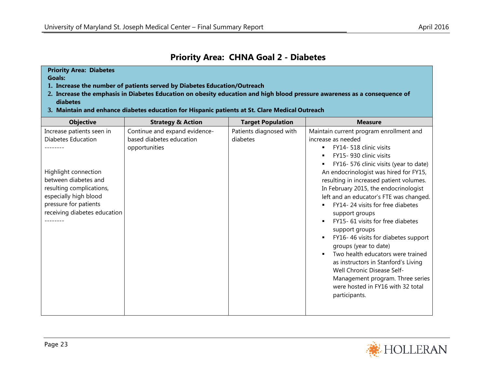## **Priority Area: CHNA Goal 2 - Diabetes**

#### **Priority Area: Diabetes**

**Goals:**

- **1. Increase the number of patients served by Diabetes Education/Outreach**
- **2. Increase the emphasis in Diabetes Education on obesity education and high blood pressure awareness as a consequence of diabetes**
- **3. Maintain and enhance diabetes education for Hispanic patients at St. Clare Medical Outreach**

| <b>Objective</b>                                                                                                                                                                                                     | <b>Strategy &amp; Action</b>                                               | <b>Target Population</b>            | <b>Measure</b>                                                                                                                                                                                                                                                                                                                                                                                                                                                                                                                                                                                                                                                                                                             |
|----------------------------------------------------------------------------------------------------------------------------------------------------------------------------------------------------------------------|----------------------------------------------------------------------------|-------------------------------------|----------------------------------------------------------------------------------------------------------------------------------------------------------------------------------------------------------------------------------------------------------------------------------------------------------------------------------------------------------------------------------------------------------------------------------------------------------------------------------------------------------------------------------------------------------------------------------------------------------------------------------------------------------------------------------------------------------------------------|
| Increase patients seen in<br><b>Diabetes Education</b><br>Highlight connection<br>between diabetes and<br>resulting complications,<br>especially high blood<br>pressure for patients<br>receiving diabetes education | Continue and expand evidence-<br>based diabetes education<br>opportunities | Patients diagnosed with<br>diabetes | Maintain current program enrollment and<br>increase as needed<br>FY14- 518 clinic visits<br>٠.<br>FY15-930 clinic visits<br>FY16-576 clinic visits (year to date)<br>An endocrinologist was hired for FY15,<br>resulting in increased patient volumes.<br>In February 2015, the endocrinologist<br>left and an educator's FTE was changed.<br>FY14-24 visits for free diabetes<br>support groups<br>FY15-61 visits for free diabetes<br>support groups<br>FY16-46 visits for diabetes support<br>groups (year to date)<br>Two health educators were trained<br>as instructors in Stanford's Living<br>Well Chronic Disease Self-<br>Management program. Three series<br>were hosted in FY16 with 32 total<br>participants. |
|                                                                                                                                                                                                                      |                                                                            |                                     |                                                                                                                                                                                                                                                                                                                                                                                                                                                                                                                                                                                                                                                                                                                            |

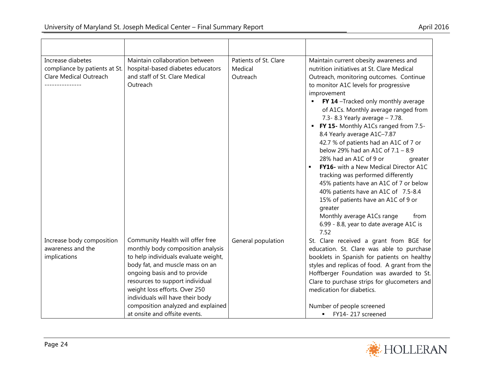| Increase diabetes<br>compliance by patients at St.<br>Clare Medical Outreach | Maintain collaboration between<br>hospital-based diabetes educators<br>and staff of St. Clare Medical<br>Outreach                                                                                                                                                                                                                                               | Patients of St. Clare<br>Medical<br>Outreach | Maintain current obesity awareness and<br>nutrition initiatives at St. Clare Medical<br>Outreach, monitoring outcomes. Continue<br>to monitor A1C levels for progressive<br>improvement<br>FY 14 -Tracked only monthly average<br>of A1Cs. Monthly average ranged from<br>7.3-8.3 Yearly average - 7.78.<br>FY 15- Monthly A1Cs ranged from 7.5-<br>٠<br>8.4 Yearly average A1C-7.87<br>42.7 % of patients had an A1C of 7 or<br>below 29% had an A1C of $7.1 - 8.9$<br>28% had an A1C of 9 or<br>greater<br>FY16- with a New Medical Director A1C<br>tracking was performed differently<br>45% patients have an A1C of 7 or below<br>40% patients have an A1C of 7.5-8.4<br>15% of patients have an A1C of 9 or<br>greater<br>Monthly average A1Cs range<br>from<br>6.99 - 8.8, year to date average A1C is<br>7.52 |
|------------------------------------------------------------------------------|-----------------------------------------------------------------------------------------------------------------------------------------------------------------------------------------------------------------------------------------------------------------------------------------------------------------------------------------------------------------|----------------------------------------------|----------------------------------------------------------------------------------------------------------------------------------------------------------------------------------------------------------------------------------------------------------------------------------------------------------------------------------------------------------------------------------------------------------------------------------------------------------------------------------------------------------------------------------------------------------------------------------------------------------------------------------------------------------------------------------------------------------------------------------------------------------------------------------------------------------------------|
| Increase body composition<br>awareness and the<br>implications               | Community Health will offer free<br>monthly body composition analysis<br>to help individuals evaluate weight,<br>body fat, and muscle mass on an<br>ongoing basis and to provide<br>resources to support individual<br>weight loss efforts. Over 250<br>individuals will have their body<br>composition analyzed and explained<br>at onsite and offsite events. | General population                           | St. Clare received a grant from BGE for<br>education. St. Clare was able to purchase<br>booklets in Spanish for patients on healthy<br>styles and replicas of food. A grant from the<br>Hoffberger Foundation was awarded to St.<br>Clare to purchase strips for glucometers and<br>medication for diabetics.<br>Number of people screened<br>FY14-217 screened                                                                                                                                                                                                                                                                                                                                                                                                                                                      |

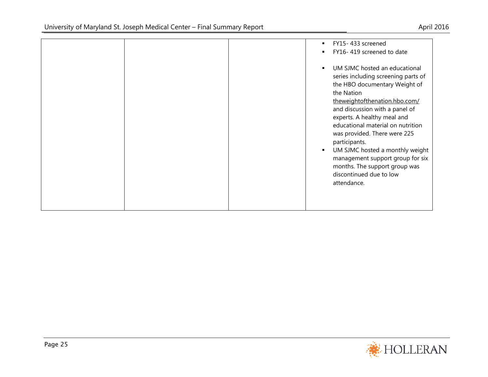|  | FY15-433 screened<br>FY16-419 screened to date                                                                                                                                                                                                                                                                                                                                                                                                                     |
|--|--------------------------------------------------------------------------------------------------------------------------------------------------------------------------------------------------------------------------------------------------------------------------------------------------------------------------------------------------------------------------------------------------------------------------------------------------------------------|
|  | UM SJMC hosted an educational<br>series including screening parts of<br>the HBO documentary Weight of<br>the Nation<br>theweightofthenation.hbo.com/<br>and discussion with a panel of<br>experts. A healthy meal and<br>educational material on nutrition<br>was provided. There were 225<br>participants.<br>UM SJMC hosted a monthly weight<br>×<br>management support group for six<br>months. The support group was<br>discontinued due to low<br>attendance. |

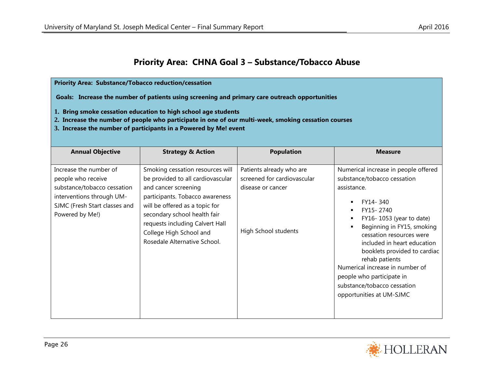# **Priority Area: CHNA Goal 3 – Substance/Tobacco Abuse**

| <b>Priority Area: Substance/Tobacco reduction/cessation</b><br>Goals: Increase the number of patients using screening and primary care outreach opportunities<br>1. Bring smoke cessation education to high school age students<br>2. Increase the number of people who participate in one of our multi-week, smoking cessation courses<br>3. Increase the number of participants in a Powered by Me! event |                                                                                                                                                                                                                                                                                                  |                                                                                                      |                                                                                                                                                                                                                                                                                                                                                                                                                              |  |
|-------------------------------------------------------------------------------------------------------------------------------------------------------------------------------------------------------------------------------------------------------------------------------------------------------------------------------------------------------------------------------------------------------------|--------------------------------------------------------------------------------------------------------------------------------------------------------------------------------------------------------------------------------------------------------------------------------------------------|------------------------------------------------------------------------------------------------------|------------------------------------------------------------------------------------------------------------------------------------------------------------------------------------------------------------------------------------------------------------------------------------------------------------------------------------------------------------------------------------------------------------------------------|--|
| <b>Annual Objective</b>                                                                                                                                                                                                                                                                                                                                                                                     | <b>Strategy &amp; Action</b>                                                                                                                                                                                                                                                                     | <b>Population</b>                                                                                    | <b>Measure</b>                                                                                                                                                                                                                                                                                                                                                                                                               |  |
| Increase the number of<br>people who receive<br>substance/tobacco cessation<br>interventions through UM-<br>SJMC (Fresh Start classes and<br>Powered by Me!)                                                                                                                                                                                                                                                | Smoking cessation resources will<br>be provided to all cardiovascular<br>and cancer screening<br>participants. Tobacco awareness<br>will be offered as a topic for<br>secondary school health fair<br>requests including Calvert Hall<br>College High School and<br>Rosedale Alternative School. | Patients already who are<br>screened for cardiovascular<br>disease or cancer<br>High School students | Numerical increase in people offered<br>substance/tobacco cessation<br>assistance.<br>FY14-340<br>٠<br>FY15-2740<br>٠<br>FY16-1053 (year to date)<br>٠<br>Beginning in FY15, smoking<br>cessation resources were<br>included in heart education<br>booklets provided to cardiac<br>rehab patients<br>Numerical increase in number of<br>people who participate in<br>substance/tobacco cessation<br>opportunities at UM-SJMC |  |

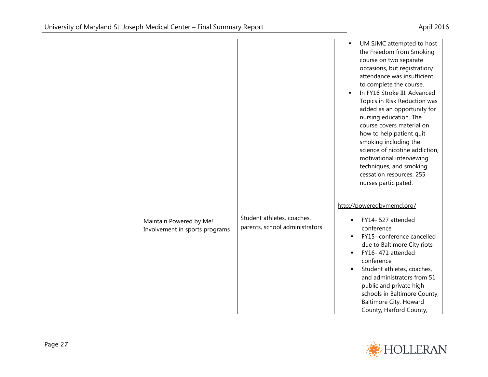|                                                           |                                                              | UM SJMC attempted to host<br>$\blacksquare$<br>the Freedom from Smoking<br>course on two separate<br>occasions, but registration/<br>attendance was insufficient<br>to complete the course.<br>In FY16 Stroke III: Advanced<br>Topics in Risk Reduction was<br>added as an opportunity for<br>nursing education. The<br>course covers material on<br>how to help patient quit<br>smoking including the<br>science of nicotine addiction,<br>motivational interviewing<br>techniques, and smoking<br>cessation resources. 255<br>nurses participated. |
|-----------------------------------------------------------|--------------------------------------------------------------|------------------------------------------------------------------------------------------------------------------------------------------------------------------------------------------------------------------------------------------------------------------------------------------------------------------------------------------------------------------------------------------------------------------------------------------------------------------------------------------------------------------------------------------------------|
| Maintain Powered by Me!<br>Involvement in sports programs | Student athletes, coaches,<br>parents, school administrators | http://poweredbymemd.org/<br>FY14-527 attended<br>conference<br>FY15- conference cancelled<br>$\blacksquare$<br>due to Baltimore City riots<br>FY16-471 attended<br>$\blacksquare$<br>conference<br>Student athletes, coaches,<br>and administrators from 51<br>public and private high<br>schools in Baltimore County,<br><b>Baltimore City, Howard</b><br>County, Harford County,                                                                                                                                                                  |

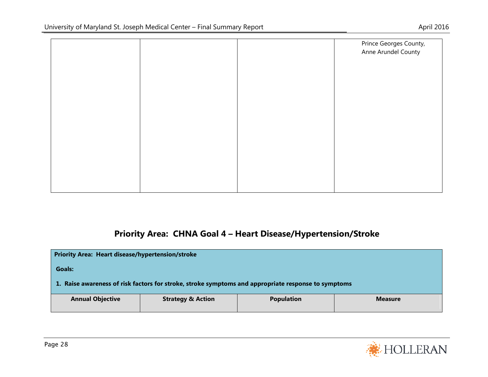|  | Prince Georges County, |
|--|------------------------|
|  | Anne Arundel County    |
|  |                        |
|  |                        |
|  |                        |
|  |                        |
|  |                        |
|  |                        |
|  |                        |
|  |                        |
|  |                        |
|  |                        |

# **Priority Area: CHNA Goal 4 – Heart Disease/Hypertension/Stroke**

| <b>Priority Area: Heart disease/hypertension/stroke</b>                                             |  |  |  |  |  |
|-----------------------------------------------------------------------------------------------------|--|--|--|--|--|
| <b>Goals:</b>                                                                                       |  |  |  |  |  |
| 1. Raise awareness of risk factors for stroke, stroke symptoms and appropriate response to symptoms |  |  |  |  |  |
| <b>Annual Objective</b><br><b>Strategy &amp; Action</b><br><b>Population</b><br><b>Measure</b>      |  |  |  |  |  |

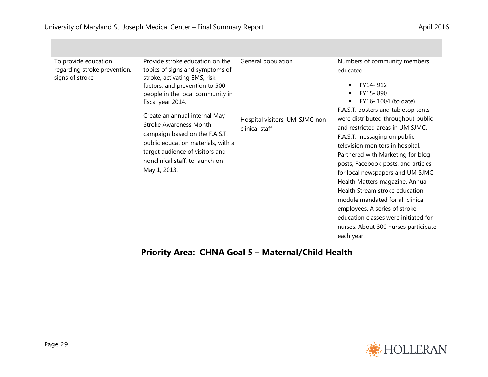| To provide education<br>regarding stroke prevention,<br>signs of stroke | Provide stroke education on the<br>topics of signs and symptoms of<br>stroke, activating EMS, risk<br>factors, and prevention to 500<br>people in the local community in<br>fiscal year 2014.<br>Create an annual internal May<br><b>Stroke Awareness Month</b><br>campaign based on the F.A.S.T.<br>public education materials, with a<br>target audience of visitors and<br>nonclinical staff, to launch on<br>May 1, 2013. | General population<br>Hospital visitors, UM-SJMC non-<br>clinical staff | Numbers of community members<br>educated<br>FY14-912<br>FY15-890<br>FY16-1004 (to date)<br>F.A.S.T. posters and tabletop tents<br>were distributed throughout public<br>and restricted areas in UM SJMC.<br>F.A.S.T. messaging on public<br>television monitors in hospital.<br>Partnered with Marketing for blog<br>posts, Facebook posts, and articles<br>for local newspapers and UM SJMC<br>Health Matters magazine. Annual<br>Health Stream stroke education<br>module mandated for all clinical<br>employees. A series of stroke<br>education classes were initiated for<br>nurses. About 300 nurses participate<br>each year. |
|-------------------------------------------------------------------------|-------------------------------------------------------------------------------------------------------------------------------------------------------------------------------------------------------------------------------------------------------------------------------------------------------------------------------------------------------------------------------------------------------------------------------|-------------------------------------------------------------------------|--------------------------------------------------------------------------------------------------------------------------------------------------------------------------------------------------------------------------------------------------------------------------------------------------------------------------------------------------------------------------------------------------------------------------------------------------------------------------------------------------------------------------------------------------------------------------------------------------------------------------------------|

**Priority Area: CHNA Goal 5 – Maternal/Child Health**

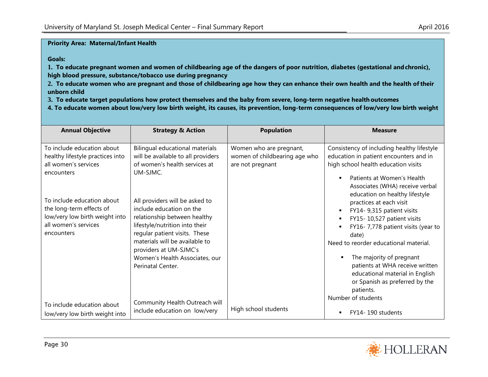#### **Priority Area: Maternal/Infant Health**

**Goals:**

**1. To educate pregnant women and women of childbearing age of the dangers of poor nutrition, diabetes (gestational andchronic), high blood pressure, substance/tobacco use during pregnancy**

**2. To educate women who are pregnant and those of childbearing age how they can enhance their own health and the health oftheir unborn child**

**3. To educate target populations how protect themselves and the baby from severe, long-term negative healthoutcomes**

**4. To educate women about low/very low birth weight, its causes, its prevention, long-term consequences of low/very low birth weight**

| <b>Annual Objective</b>                                                                                                        | <b>Strategy &amp; Action</b>                                                                                                                                  | <b>Population</b>                                                            | <b>Measure</b>                                                                                                                                                                                                                                   |
|--------------------------------------------------------------------------------------------------------------------------------|---------------------------------------------------------------------------------------------------------------------------------------------------------------|------------------------------------------------------------------------------|--------------------------------------------------------------------------------------------------------------------------------------------------------------------------------------------------------------------------------------------------|
| To include education about<br>healthy lifestyle practices into<br>all women's services<br>encounters                           | Bilingual educational materials<br>will be available to all providers<br>of women's health services at<br>UM-SJMC.                                            | Women who are pregnant,<br>women of childbearing age who<br>are not pregnant | Consistency of including healthy lifestyle<br>education in patient encounters and in<br>high school health education visits<br>Patients at Women's Health<br>$\blacksquare$<br>Associates (WHA) receive verbal<br>education on healthy lifestyle |
| To include education about<br>the long-term effects of<br>low/very low birth weight into<br>all women's services<br>encounters | All providers will be asked to<br>include education on the<br>relationship between healthy<br>lifestyle/nutrition into their<br>regular patient visits. These |                                                                              | practices at each visit<br>FY14- 9,315 patient visits<br>FY15-10,527 patient visits<br>$\blacksquare$<br>FY16-7,778 patient visits (year to<br>date)                                                                                             |
|                                                                                                                                | materials will be available to<br>providers at UM-SJMC's<br>Women's Health Associates, our<br>Perinatal Center.                                               |                                                                              | Need to reorder educational material.<br>The majority of pregnant<br>patients at WHA receive written<br>educational material in English<br>or Spanish as preferred by the<br>patients.                                                           |
| To include education about<br>low/very low birth weight into                                                                   | Community Health Outreach will<br>include education on low/very                                                                                               | High school students                                                         | Number of students<br>FY14-190 students<br>$\blacksquare$                                                                                                                                                                                        |

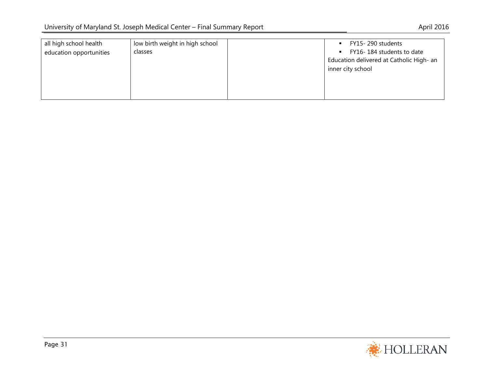| all high school health<br>education opportunities | low birth weight in high school<br>classes |  | FY15-290 students<br>$\blacksquare$<br>FY16-184 students to date<br>$\blacksquare$<br>Education delivered at Catholic High- an<br>inner city school |
|---------------------------------------------------|--------------------------------------------|--|-----------------------------------------------------------------------------------------------------------------------------------------------------|
|---------------------------------------------------|--------------------------------------------|--|-----------------------------------------------------------------------------------------------------------------------------------------------------|

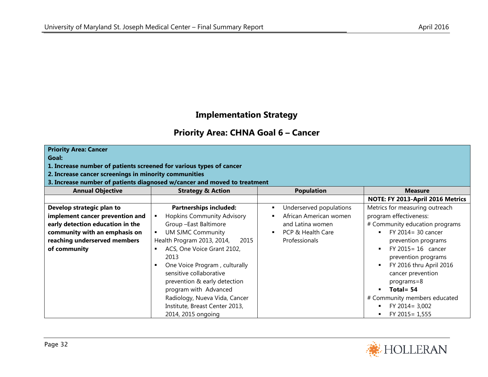## **Implementation Strategy**

## **Priority Area: CHNA Goal 6 – Cancer**

**Goal:**

#### **1. Increase number of patients screened for various types of cancer**

**2. Increase cancer screenings in minority communities**

**3. Increase number of patients diagnosed w/cancer and moved to treatment**

| <b>Annual Objective</b>          | <b>Strategy &amp; Action</b>                                                                                      | <b>Population</b>       | <b>Measure</b>                                                                                    |
|----------------------------------|-------------------------------------------------------------------------------------------------------------------|-------------------------|---------------------------------------------------------------------------------------------------|
|                                  |                                                                                                                   |                         | NOTE: FY 2013-April 2016 Metrics                                                                  |
| Develop strategic plan to        | <b>Partnerships included:</b>                                                                                     | Underserved populations | Metrics for measuring outreach                                                                    |
| implement cancer prevention and  | <b>Hopkins Community Advisory</b>                                                                                 | African American women  | program effectiveness:                                                                            |
| early detection education in the | Group -East Baltimore                                                                                             | and Latina women        | # Community education programs                                                                    |
| community with an emphasis on    | <b>UM SJMC Community</b>                                                                                          | PCP & Health Care       | FY 2014 = 30 cancer<br>$\blacksquare$                                                             |
| reaching underserved members     | Health Program 2013, 2014,<br>2015                                                                                | Professionals           | prevention programs                                                                               |
| of community                     | ACS, One Voice Grant 2102,<br>2013                                                                                |                         | $FY$ 2015 = 16 cancer<br>prevention programs                                                      |
|                                  | One Voice Program, culturally<br>sensitive collaborative<br>prevention & early detection<br>program with Advanced |                         | FY 2016 thru April 2016<br>л<br>cancer prevention<br>programs=8<br>Total = $54$<br>$\blacksquare$ |
|                                  | Radiology, Nueva Vida, Cancer                                                                                     |                         | # Community members educated                                                                      |
|                                  | Institute, Breast Center 2013,                                                                                    |                         | FY 2014 = 3,002                                                                                   |
|                                  | 2014, 2015 ongoing                                                                                                |                         | FY 2015 = 1,555                                                                                   |

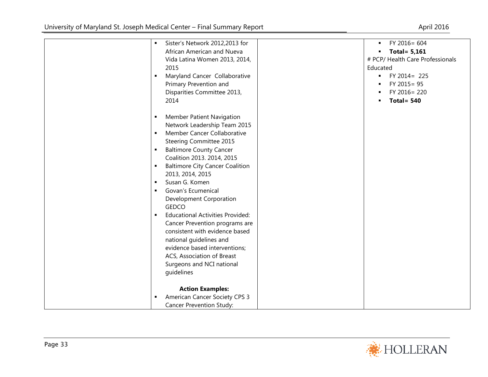| $\blacksquare$ | Sister's Network 2012,2013 for          | FY 2016= 604<br>٠                 |
|----------------|-----------------------------------------|-----------------------------------|
|                | African American and Nueva              | Total = $5,161$<br>٠              |
|                | Vida Latina Women 2013, 2014,           | # PCP/ Health Care Professionals  |
|                | 2015                                    | Educated                          |
| $\blacksquare$ | Maryland Cancer Collaborative           | $FY 2014 = 225$<br>$\blacksquare$ |
|                | Primary Prevention and                  | FY 2015 = 95                      |
|                | Disparities Committee 2013,             | FY 2016 = 220<br>٠                |
|                | 2014                                    | Total = $540$<br>$\blacksquare$   |
|                |                                         |                                   |
|                | <b>Member Patient Navigation</b>        |                                   |
|                | Network Leadership Team 2015            |                                   |
| $\blacksquare$ | Member Cancer Collaborative             |                                   |
|                | Steering Committee 2015                 |                                   |
| ٠              | <b>Baltimore County Cancer</b>          |                                   |
|                | Coalition 2013. 2014, 2015              |                                   |
| $\blacksquare$ | <b>Baltimore City Cancer Coalition</b>  |                                   |
|                | 2013, 2014, 2015                        |                                   |
| $\blacksquare$ | Susan G. Komen                          |                                   |
| $\blacksquare$ | Govan's Ecumenical                      |                                   |
|                |                                         |                                   |
|                | Development Corporation<br><b>GEDCO</b> |                                   |
|                |                                         |                                   |
| $\blacksquare$ | <b>Educational Activities Provided:</b> |                                   |
|                | Cancer Prevention programs are          |                                   |
|                | consistent with evidence based          |                                   |
|                | national guidelines and                 |                                   |
|                | evidence based interventions;           |                                   |
|                | ACS, Association of Breast              |                                   |
|                | Surgeons and NCI national               |                                   |
|                | guidelines                              |                                   |
|                |                                         |                                   |
|                | <b>Action Examples:</b>                 |                                   |
| $\blacksquare$ | American Cancer Society CPS 3           |                                   |
|                | Cancer Prevention Study:                |                                   |

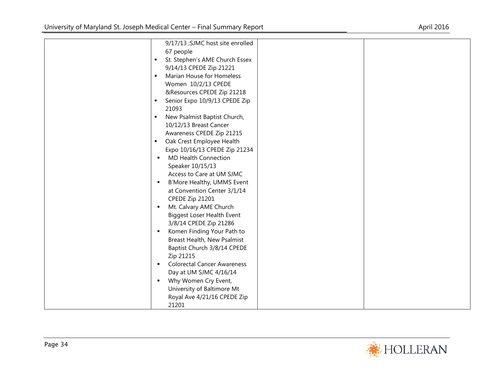|                | 9/17/13 ; SJMC host site enrolled  |  |
|----------------|------------------------------------|--|
|                | 67 people                          |  |
| $\blacksquare$ | St. Stephen's AME Church Essex     |  |
|                | 9/14/13 CPEDE Zip 21221            |  |
| $\blacksquare$ | Marian House for Homeless          |  |
|                | Women 10/2/13 CPEDE                |  |
|                | &Resources CPEDE Zip 21218         |  |
| $\blacksquare$ | Senior Expo 10/9/13 CPEDE Zip      |  |
|                | 21093                              |  |
| П              | New Psalmist Baptist Church,       |  |
|                | 10/12/13 Breast Cancer             |  |
|                | Awareness CPEDE Zip 21215          |  |
| $\blacksquare$ | Oak Crest Employee Health          |  |
|                | Expo 10/16/13 CPEDE Zip 21234      |  |
| $\blacksquare$ | <b>MD Health Connection</b>        |  |
|                | Speaker 10/15/13                   |  |
|                | Access to Care at UM SJMC          |  |
| $\blacksquare$ | B'More Healthy, UMMS Event         |  |
|                | at Convention Center 3/1/14        |  |
|                | CPEDE Zip 21201                    |  |
| $\blacksquare$ | Mt. Calvary AME Church             |  |
|                | <b>Biggest Loser Health Event</b>  |  |
|                | 3/8/14 CPEDE Zip 21286             |  |
| $\blacksquare$ | Komen Finding Your Path to         |  |
|                | Breast Health, New Psalmist        |  |
|                | Baptist Church 3/8/14 CPEDE        |  |
|                | Zip 21215                          |  |
| $\blacksquare$ | <b>Colorectal Cancer Awareness</b> |  |
|                | Day at UM SJMC 4/16/14             |  |
| $\blacksquare$ | Why Women Cry Event,               |  |
|                | University of Baltimore Mt         |  |
|                | Royal Ave 4/21/16 CPEDE Zip        |  |
|                | 21201                              |  |

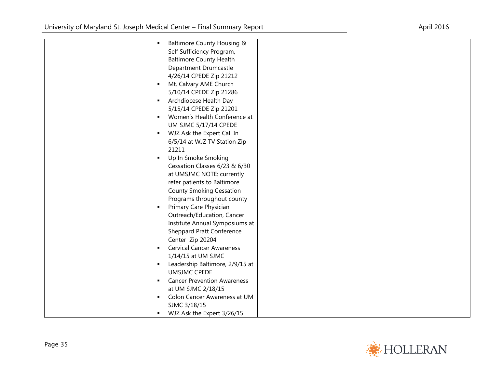| $\blacksquare$ | Baltimore County Housing &         |  |
|----------------|------------------------------------|--|
|                | Self Sufficiency Program,          |  |
|                | <b>Baltimore County Health</b>     |  |
|                | Department Drumcastle              |  |
|                | 4/26/14 CPEDE Zip 21212            |  |
| $\blacksquare$ | Mt. Calvary AME Church             |  |
|                | 5/10/14 CPEDE Zip 21286            |  |
| $\blacksquare$ | Archdiocese Health Day             |  |
|                | 5/15/14 CPEDE Zip 21201            |  |
| $\blacksquare$ | Women's Health Conference at       |  |
|                | UM SJMC 5/17/14 CPEDE              |  |
| $\blacksquare$ | WJZ Ask the Expert Call In         |  |
|                | 6/5/14 at WJZ TV Station Zip       |  |
|                | 21211                              |  |
| ٠              | Up In Smoke Smoking                |  |
|                | Cessation Classes 6/23 & 6/30      |  |
|                | at UMSJMC NOTE: currently          |  |
|                | refer patients to Baltimore        |  |
|                | <b>County Smoking Cessation</b>    |  |
|                | Programs throughout county         |  |
| $\blacksquare$ | Primary Care Physician             |  |
|                | Outreach/Education, Cancer         |  |
|                | Institute Annual Symposiums at     |  |
|                | <b>Sheppard Pratt Conference</b>   |  |
|                | Center Zip 20204                   |  |
| ٠              | <b>Cervical Cancer Awareness</b>   |  |
|                | 1/14/15 at UM SJMC                 |  |
| $\blacksquare$ | Leadership Baltimore, 2/9/15 at    |  |
|                | <b>UMSJMC CPEDE</b>                |  |
| $\blacksquare$ | <b>Cancer Prevention Awareness</b> |  |
|                | at UM SJMC 2/18/15                 |  |
| ٠              | Colon Cancer Awareness at UM       |  |
|                | SJMC 3/18/15                       |  |
| ٠              | WJZ Ask the Expert 3/26/15         |  |

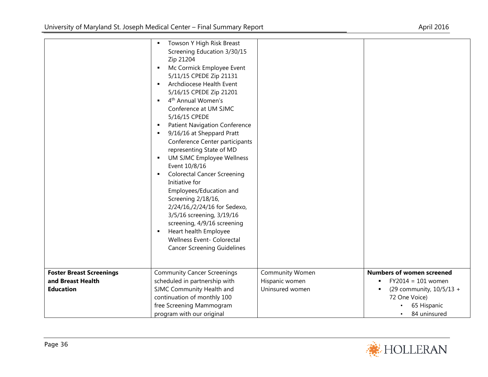|                                 | Towson Y High Risk Breast<br>٠                         |                 |                                  |
|---------------------------------|--------------------------------------------------------|-----------------|----------------------------------|
|                                 | Screening Education 3/30/15                            |                 |                                  |
|                                 | Zip 21204                                              |                 |                                  |
|                                 | Mc Cormick Employee Event<br>$\blacksquare$            |                 |                                  |
|                                 | 5/11/15 CPEDE Zip 21131                                |                 |                                  |
|                                 | Archdiocese Health Event                               |                 |                                  |
|                                 | 5/16/15 CPEDE Zip 21201                                |                 |                                  |
|                                 | 4 <sup>th</sup> Annual Women's<br>$\blacksquare$       |                 |                                  |
|                                 | Conference at UM SJMC                                  |                 |                                  |
|                                 | 5/16/15 CPEDE                                          |                 |                                  |
|                                 | <b>Patient Navigation Conference</b><br>$\blacksquare$ |                 |                                  |
|                                 | 9/16/16 at Sheppard Pratt<br>$\blacksquare$            |                 |                                  |
|                                 | Conference Center participants                         |                 |                                  |
|                                 | representing State of MD                               |                 |                                  |
|                                 | UM SJMC Employee Wellness<br>$\blacksquare$            |                 |                                  |
|                                 | Event 10/8/16                                          |                 |                                  |
|                                 | <b>Colorectal Cancer Screening</b>                     |                 |                                  |
|                                 | Initiative for                                         |                 |                                  |
|                                 | Employees/Education and                                |                 |                                  |
|                                 | Screening 2/18/16,                                     |                 |                                  |
|                                 | 2/24/16,/2/24/16 for Sedexo,                           |                 |                                  |
|                                 | 3/5/16 screening, 3/19/16                              |                 |                                  |
|                                 | screening, 4/9/16 screening                            |                 |                                  |
|                                 | Heart health Employee                                  |                 |                                  |
|                                 | Wellness Event- Colorectal                             |                 |                                  |
|                                 | <b>Cancer Screening Guidelines</b>                     |                 |                                  |
|                                 |                                                        |                 |                                  |
|                                 |                                                        |                 |                                  |
| <b>Foster Breast Screenings</b> | <b>Community Cancer Screenings</b>                     | Community Women | <b>Numbers of women screened</b> |
| and Breast Health               | scheduled in partnership with                          | Hispanic women  | $FY2014 = 101$ women             |
| <b>Education</b>                | SJMC Community Health and                              | Uninsured women | (29 community, 10/5/13 +         |
|                                 | continuation of monthly 100                            |                 | 72 One Voice)                    |
|                                 | free Screening Mammogram                               |                 | 65 Hispanic                      |
|                                 | program with our original                              |                 | 84 uninsured                     |

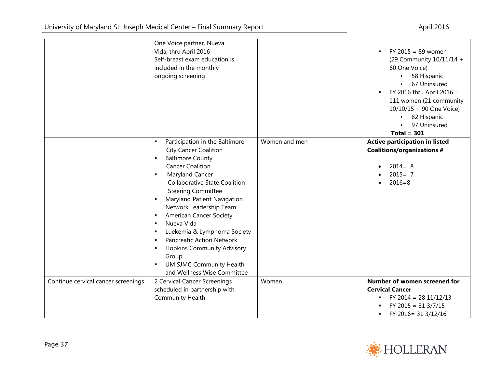|                                     | One Voice partner, Nueva<br>Vida, thru April 2016<br>Self-breast exam education is<br>included in the monthly<br>ongoing screening                                                                                                                                                                                                                                                                                                                                                                                                                                                                                                                                  |               | $FY$ 2015 = 89 women<br>(29 Community 10/11/14 +<br>60 One Voice)<br>58 Hispanic<br>67 Uninsured<br>FY 2016 thru April 2016 =<br>٠<br>111 women (21 community<br>10/10/15 + 90 One Voice)<br>82 Hispanic<br>97 Uninsured<br>Total = $301$ |
|-------------------------------------|---------------------------------------------------------------------------------------------------------------------------------------------------------------------------------------------------------------------------------------------------------------------------------------------------------------------------------------------------------------------------------------------------------------------------------------------------------------------------------------------------------------------------------------------------------------------------------------------------------------------------------------------------------------------|---------------|-------------------------------------------------------------------------------------------------------------------------------------------------------------------------------------------------------------------------------------------|
|                                     | Participation in the Baltimore<br>$\blacksquare$<br><b>City Cancer Coalition</b><br><b>Baltimore County</b><br>٠<br><b>Cancer Coalition</b><br>Maryland Cancer<br>$\blacksquare$<br><b>Collaborative State Coalition</b><br><b>Steering Committee</b><br>Maryland Patient Navigation<br>$\blacksquare$<br>Network Leadership Team<br><b>American Cancer Society</b><br>$\blacksquare$<br>Nueva Vida<br>$\blacksquare$<br>Luekemia & Lymphoma Society<br>$\blacksquare$<br><b>Pancreatic Action Network</b><br>$\blacksquare$<br><b>Hopkins Community Advisory</b><br>٠<br>Group<br><b>UM SJMC Community Health</b><br>$\blacksquare$<br>and Wellness Wise Committee | Women and men | Active participation in listed<br><b>Coalitions/organizations #</b><br>$2014 = 8$<br>$2015 = 7$<br>$2016 = 8$                                                                                                                             |
| Continue cervical cancer screenings | 2 Cervical Cancer Screenings<br>scheduled in partnership with<br><b>Community Health</b>                                                                                                                                                                                                                                                                                                                                                                                                                                                                                                                                                                            | Women         | Number of women screened for<br><b>Cervical Cancer</b><br>FY 2014 = 28 11/12/13<br>FY 2015 = $31 \frac{3}{7}$ /15<br>FY 2016= 31 3/12/16<br>٠                                                                                             |

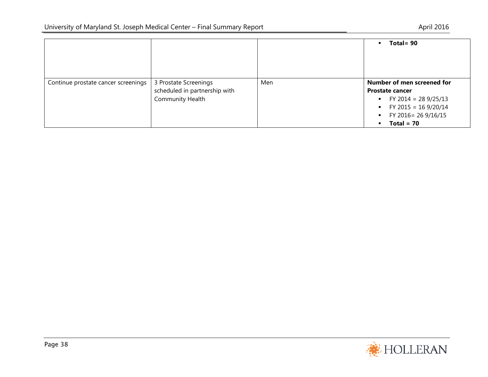|                                     |                                                                                   |     | Total = $90$                                                                                                                                                                        |
|-------------------------------------|-----------------------------------------------------------------------------------|-----|-------------------------------------------------------------------------------------------------------------------------------------------------------------------------------------|
| Continue prostate cancer screenings | 3 Prostate Screenings<br>scheduled in partnership with<br><b>Community Health</b> | Men | Number of men screened for<br><b>Prostate cancer</b><br>• FY 2014 = 28 9/25/13<br>• FY 2015 = 16 9/20/14<br>FY 2016= 26 9/16/15<br>$\blacksquare$<br>$Total = 70$<br>$\blacksquare$ |